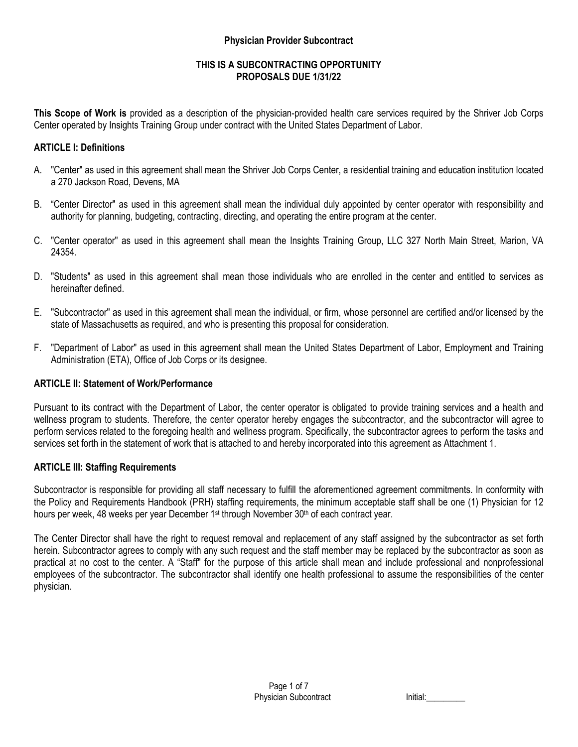#### **Physician Provider Subcontract**

# **THIS IS A SUBCONTRACTING OPPORTUNITY PROPOSALS DUE 1/31/22**

**This Scope of Work is** provided as a description of the physician-provided health care services required by the Shriver Job Corps Center operated by Insights Training Group under contract with the United States Department of Labor.

# **ARTICLE I: Definitions**

- A. "Center" as used in this agreement shall mean the Shriver Job Corps Center, a residential training and education institution located a 270 Jackson Road, Devens, MA
- B. "Center Director" as used in this agreement shall mean the individual duly appointed by center operator with responsibility and authority for planning, budgeting, contracting, directing, and operating the entire program at the center.
- C. "Center operator" as used in this agreement shall mean the Insights Training Group, LLC 327 North Main Street, Marion, VA 24354.
- D. "Students" as used in this agreement shall mean those individuals who are enrolled in the center and entitled to services as hereinafter defined.
- E. "Subcontractor" as used in this agreement shall mean the individual, or firm, whose personnel are certified and/or licensed by the state of Massachusetts as required, and who is presenting this proposal for consideration.
- F. "Department of Labor" as used in this agreement shall mean the United States Department of Labor, Employment and Training Administration (ETA), Office of Job Corps or its designee.

## **ARTICLE II: Statement of Work/Performance**

Pursuant to its contract with the Department of Labor, the center operator is obligated to provide training services and a health and wellness program to students. Therefore, the center operator hereby engages the subcontractor, and the subcontractor will agree to perform services related to the foregoing health and wellness program. Specifically, the subcontractor agrees to perform the tasks and services set forth in the statement of work that is attached to and hereby incorporated into this agreement as Attachment 1.

## **ARTICLE III: Staffing Requirements**

Subcontractor is responsible for providing all staff necessary to fulfill the aforementioned agreement commitments. In conformity with the Policy and Requirements Handbook (PRH) staffing requirements, the minimum acceptable staff shall be one (1) Physician for 12 hours per week, 48 weeks per year December 1<sup>st</sup> through November  $30<sup>th</sup>$  of each contract year.

The Center Director shall have the right to request removal and replacement of any staff assigned by the subcontractor as set forth herein. Subcontractor agrees to comply with any such request and the staff member may be replaced by the subcontractor as soon as practical at no cost to the center. A "Staff" for the purpose of this article shall mean and include professional and nonprofessional employees of the subcontractor. The subcontractor shall identify one health professional to assume the responsibilities of the center physician.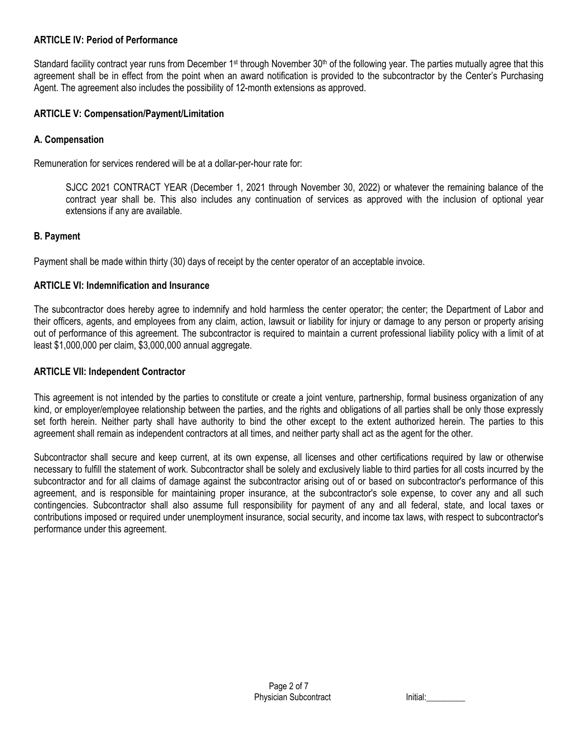## **ARTICLE IV: Period of Performance**

Standard facility contract year runs from December 1<sup>st</sup> through November 30<sup>th</sup> of the following year. The parties mutually agree that this agreement shall be in effect from the point when an award notification is provided to the subcontractor by the Center's Purchasing Agent. The agreement also includes the possibility of 12-month extensions as approved.

# **ARTICLE V: Compensation/Payment/Limitation**

# **A. Compensation**

Remuneration for services rendered will be at a dollar-per-hour rate for:

SJCC 2021 CONTRACT YEAR (December 1, 2021 through November 30, 2022) or whatever the remaining balance of the contract year shall be. This also includes any continuation of services as approved with the inclusion of optional year extensions if any are available.

# **B. Payment**

Payment shall be made within thirty (30) days of receipt by the center operator of an acceptable invoice.

# **ARTICLE VI: Indemnification and Insurance**

The subcontractor does hereby agree to indemnify and hold harmless the center operator; the center; the Department of Labor and their officers, agents, and employees from any claim, action, lawsuit or liability for injury or damage to any person or property arising out of performance of this agreement. The subcontractor is required to maintain a current professional liability policy with a limit of at least \$1,000,000 per claim, \$3,000,000 annual aggregate.

# **ARTICLE VII: Independent Contractor**

This agreement is not intended by the parties to constitute or create a joint venture, partnership, formal business organization of any kind, or employer/employee relationship between the parties, and the rights and obligations of all parties shall be only those expressly set forth herein. Neither party shall have authority to bind the other except to the extent authorized herein. The parties to this agreement shall remain as independent contractors at all times, and neither party shall act as the agent for the other.

Subcontractor shall secure and keep current, at its own expense, all licenses and other certifications required by law or otherwise necessary to fulfill the statement of work. Subcontractor shall be solely and exclusively liable to third parties for all costs incurred by the subcontractor and for all claims of damage against the subcontractor arising out of or based on subcontractor's performance of this agreement, and is responsible for maintaining proper insurance, at the subcontractor's sole expense, to cover any and all such contingencies. Subcontractor shall also assume full responsibility for payment of any and all federal, state, and local taxes or contributions imposed or required under unemployment insurance, social security, and income tax laws, with respect to subcontractor's performance under this agreement.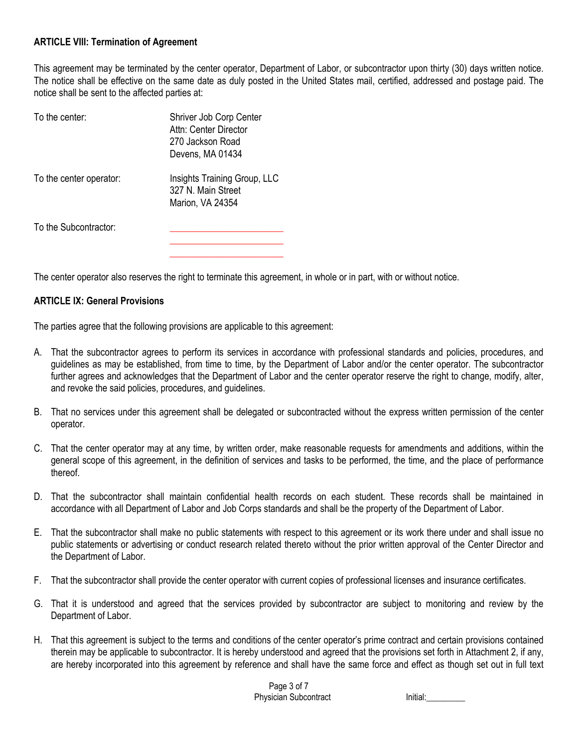## **ARTICLE VIII: Termination of Agreement**

This agreement may be terminated by the center operator, Department of Labor, or subcontractor upon thirty (30) days written notice. The notice shall be effective on the same date as duly posted in the United States mail, certified, addressed and postage paid. The notice shall be sent to the affected parties at:

| To the center:          | Shriver Job Corp Center<br>Attn: Center Director<br>270 Jackson Road<br>Devens, MA 01434 |
|-------------------------|------------------------------------------------------------------------------------------|
| To the center operator: | Insights Training Group, LLC<br>327 N. Main Street<br>Marion, VA 24354                   |
| To the Subcontractor:   |                                                                                          |

The center operator also reserves the right to terminate this agreement, in whole or in part, with or without notice.

#### **ARTICLE IX: General Provisions**

The parties agree that the following provisions are applicable to this agreement:

- A. That the subcontractor agrees to perform its services in accordance with professional standards and policies, procedures, and guidelines as may be established, from time to time, by the Department of Labor and/or the center operator. The subcontractor further agrees and acknowledges that the Department of Labor and the center operator reserve the right to change, modify, alter, and revoke the said policies, procedures, and guidelines.
- B. That no services under this agreement shall be delegated or subcontracted without the express written permission of the center operator.
- C. That the center operator may at any time, by written order, make reasonable requests for amendments and additions, within the general scope of this agreement, in the definition of services and tasks to be performed, the time, and the place of performance thereof.
- D. That the subcontractor shall maintain confidential health records on each student. These records shall be maintained in accordance with all Department of Labor and Job Corps standards and shall be the property of the Department of Labor.
- E. That the subcontractor shall make no public statements with respect to this agreement or its work there under and shall issue no public statements or advertising or conduct research related thereto without the prior written approval of the Center Director and the Department of Labor.
- F. That the subcontractor shall provide the center operator with current copies of professional licenses and insurance certificates.
- G. That it is understood and agreed that the services provided by subcontractor are subject to monitoring and review by the Department of Labor.
- H. That this agreement is subject to the terms and conditions of the center operator's prime contract and certain provisions contained therein may be applicable to subcontractor. It is hereby understood and agreed that the provisions set forth in Attachment 2, if any, are hereby incorporated into this agreement by reference and shall have the same force and effect as though set out in full text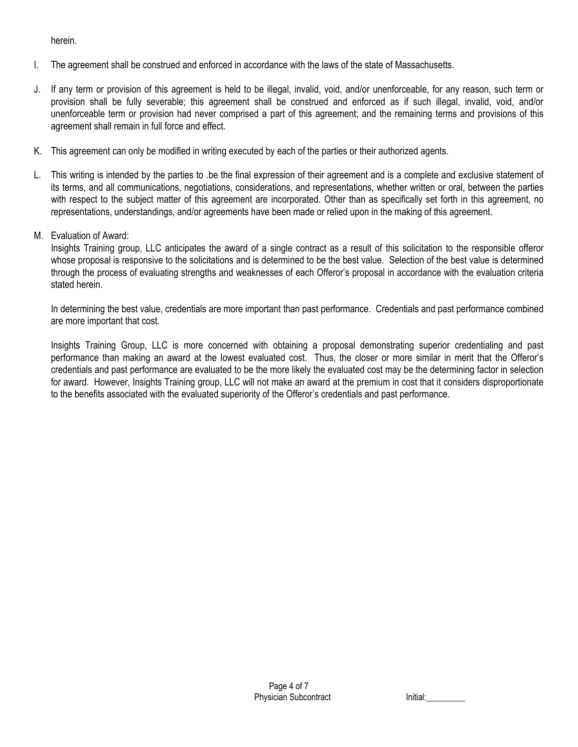herein.

- I. The agreement shall be construed and enforced in accordance with the laws of the state of Massachusetts.
- J. If any term or provision of this agreement is held to be illegal, invalid, void, and/or unenforceable, for any reason, such term or provision shall be fully severable; this agreement shall be construed and enforced as if such illegal, invalid, void, and/or unenforceable term or provision had never comprised a part of this agreement; and the remaining terms and provisions of this agreement shall remain in full force and effect.
- K. This agreement can only be modified in writing executed by each of the parties or their authorized agents.
- L. This writing is intended by the parties to .be the final expression of their agreement and is a complete and exclusive statement of its terms, and all communications, negotiations, considerations, and representations, whether written or oral, between the parties with respect to the subject matter of this agreement are incorporated. Other than as specifically set forth in this agreement, no representations, understandings, and/or agreements have been made or relied upon in the making of this agreement.
- M. Evaluation of Award:

Insights Training group, LLC anticipates the award of a single contract as a result of this solicitation to the responsible offeror whose proposal is responsive to the solicitations and is determined to be the best value. Selection of the best value is determined through the process of evaluating strengths and weaknesses of each Offeror's proposal in accordance with the evaluation criteria stated herein.

In determining the best value, credentials are more important than past performance. Credentials and past performance combined are more important that cost.

Insights Training Group, LLC is more concerned with obtaining a proposal demonstrating superior credentialing and past performance than making an award at the lowest evaluated cost. Thus, the closer or more similar in merit that the Offeror's credentials and past performance are evaluated to be the more likely the evaluated cost may be the determining factor in selection for award. However, Insights Training group, LLC will not make an award at the premium in cost that it considers disproportionate to the benefits associated with the evaluated superiority of the Offeror's credentials and past performance.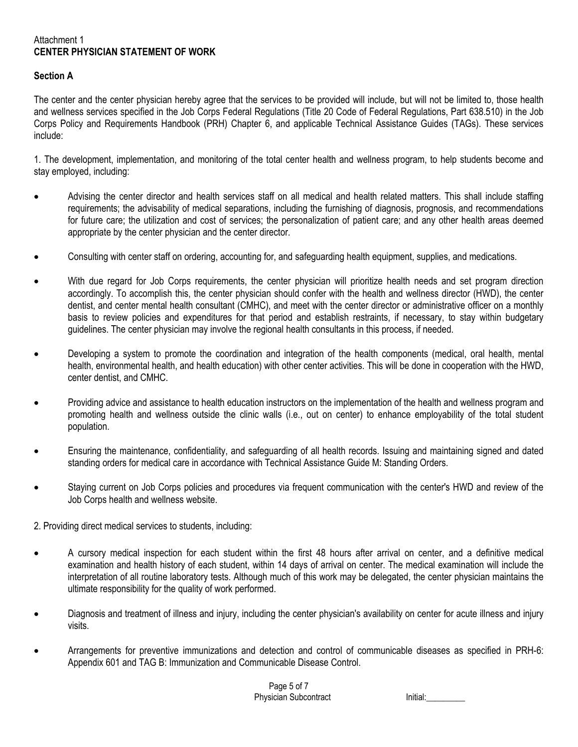#### Attachment 1 **CENTER PHYSICIAN STATEMENT OF WORK**

# **Section A**

The center and the center physician hereby agree that the services to be provided will include, but will not be limited to, those health and wellness services specified in the Job Corps Federal Regulations (Title 20 Code of Federal Regulations, Part 638.510) in the Job Corps Policy and Requirements Handbook (PRH) Chapter 6, and applicable Technical Assistance Guides (TAGs). These services include:

1. The development, implementation, and monitoring of the total center health and wellness program, to help students become and stay employed, including:

- Advising the center director and health services staff on all medical and health related matters. This shall include staffing requirements; the advisability of medical separations, including the furnishing of diagnosis, prognosis, and recommendations for future care; the utilization and cost of services; the personalization of patient care; and any other health areas deemed appropriate by the center physician and the center director.
- Consulting with center staff on ordering, accounting for, and safeguarding health equipment, supplies, and medications.
- With due regard for Job Corps requirements, the center physician will prioritize health needs and set program direction accordingly. To accomplish this, the center physician should confer with the health and wellness director (HWD), the center dentist, and center mental health consultant (CMHC), and meet with the center director or administrative officer on a monthly basis to review policies and expenditures for that period and establish restraints, if necessary, to stay within budgetary guidelines. The center physician may involve the regional health consultants in this process, if needed.
- Developing a system to promote the coordination and integration of the health components (medical, oral health, mental health, environmental health, and health education) with other center activities. This will be done in cooperation with the HWD, center dentist, and CMHC.
- Providing advice and assistance to health education instructors on the implementation of the health and wellness program and promoting health and wellness outside the clinic walls (i.e., out on center) to enhance employability of the total student population.
- Ensuring the maintenance, confidentiality, and safeguarding of all health records. Issuing and maintaining signed and dated standing orders for medical care in accordance with Technical Assistance Guide M: Standing Orders.
- Staying current on Job Corps policies and procedures via frequent communication with the center's HWD and review of the Job Corps health and wellness website.

2. Providing direct medical services to students, including:

- A cursory medical inspection for each student within the first 48 hours after arrival on center, and a definitive medical examination and health history of each student, within 14 days of arrival on center. The medical examination will include the interpretation of all routine laboratory tests. Although much of this work may be delegated, the center physician maintains the ultimate responsibility for the quality of work performed.
- Diagnosis and treatment of illness and injury, including the center physician's availability on center for acute illness and injury visits.
- Arrangements for preventive immunizations and detection and control of communicable diseases as specified in PRH-6: Appendix 601 and TAG B: Immunization and Communicable Disease Control.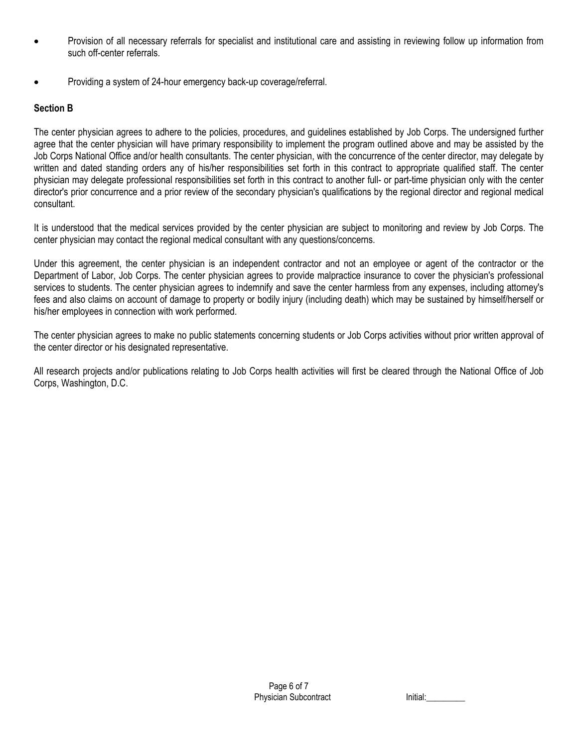- Provision of all necessary referrals for specialist and institutional care and assisting in reviewing follow up information from such off-center referrals.
- Providing a system of 24-hour emergency back-up coverage/referral.

# **Section B**

The center physician agrees to adhere to the policies, procedures, and guidelines established by Job Corps. The undersigned further agree that the center physician will have primary responsibility to implement the program outlined above and may be assisted by the Job Corps National Office and/or health consultants. The center physician, with the concurrence of the center director, may delegate by written and dated standing orders any of his/her responsibilities set forth in this contract to appropriate qualified staff. The center physician may delegate professional responsibilities set forth in this contract to another full- or part-time physician only with the center director's prior concurrence and a prior review of the secondary physician's qualifications by the regional director and regional medical consultant.

It is understood that the medical services provided by the center physician are subject to monitoring and review by Job Corps. The center physician may contact the regional medical consultant with any questions/concerns.

Under this agreement, the center physician is an independent contractor and not an employee or agent of the contractor or the Department of Labor, Job Corps. The center physician agrees to provide malpractice insurance to cover the physician's professional services to students. The center physician agrees to indemnify and save the center harmless from any expenses, including attorney's fees and also claims on account of damage to property or bodily injury (including death) which may be sustained by himself/herself or his/her employees in connection with work performed.

The center physician agrees to make no public statements concerning students or Job Corps activities without prior written approval of the center director or his designated representative.

All research projects and/or publications relating to Job Corps health activities will first be cleared through the National Office of Job Corps, Washington, D.C.